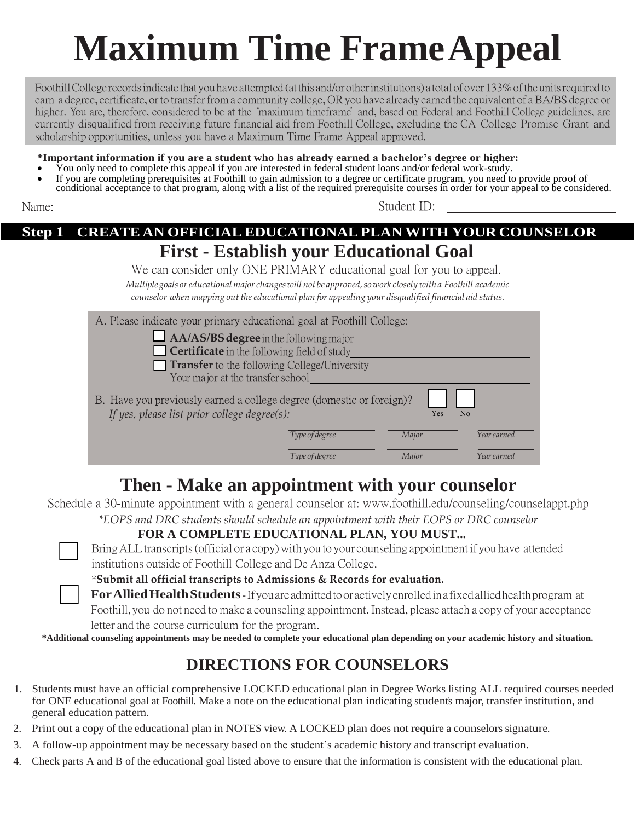# **Maximum Time Frame Appeal**

Foothill College records indicate that you have attempted (at this and/or other institutions) a total of over 133% of the units required to earn a degree, certificate, or to transfer from a community college, OR you have already earned the equivalent of a BA/BS degree or higher. You are, therefore, considered to be at the "maximum timeframe" and, based on Federal and Foothill College guidelines, are currently disqualified from receiving future financial aid from Foothill College, excluding the CA College Promise Grant and scholarship opportunities, unless you have a Maximum Time Frame Appeal approved.

**\*Important information if you are a student who has already earned a bachelor's degree or higher:** You only need to complete this appeal if you are interested in federal student loans and/or federal work-study.

- 
- If you are completing prerequisites at Foothill to gain admission to a degree or certificate program, you need to provide proof of conditional acceptance to that program, along with a list of the required prerequisite courses in order for your appeal to be considered.

|--|--|

Student ID:

### **Step 1 CREATE AN OFFICIAL EDUCATIONAL PLAN WITH YOUR COUNSELOR First - Establish your Educational Goal**

We can consider only ONE PRIMARY educational goal for you to appeal.

*Multiple goals or educational major changes will not be approved, so work closely with a Foothill academic counselor when mapping out the educational plan for appealing your disqualified financial aid status.*

| A. Please indicate your primary educational goal at Foothill College:                                                                          |                |       |             |  |
|------------------------------------------------------------------------------------------------------------------------------------------------|----------------|-------|-------------|--|
| $\Box$ AA/AS/BS degree in the following major                                                                                                  |                |       |             |  |
| Certificate in the following field of study                                                                                                    |                |       |             |  |
| <b>Transfer</b> to the following College/University                                                                                            |                |       |             |  |
| Your major at the transfer school                                                                                                              |                |       |             |  |
| B. Have you previously earned a college degree (domestic or foreign)?<br>If yes, please list prior college degree(s):<br>N <sub>o</sub><br>Yes |                |       |             |  |
|                                                                                                                                                | Type of degree | Major | Year earned |  |
|                                                                                                                                                | Type of degree | Maior | Year earned |  |
|                                                                                                                                                |                |       |             |  |

# **Then - Make an appointment with your counselor**

Schedule a 30-minute appointment with a general counselor at: [www.foothill.edu/counseling/counselappt.php](http://www.foothill.edu/counseling/counselappt.php)

*\*EOPS and DRC students should schedule an appointment with their EOPS or DRC counselor*

### **FOR A COMPLETE EDUCATIONAL PLAN, YOU MUST...**

Bring ALL transcripts (official or a copy) with you to your counseling appointment if you have attended institutions outside of Foothill College and De Anza College.



\***Submit all official transcripts to Admissions & Records for evaluation.**

**For Allied Health Students** - If you are admitted to or actively enrolled in a fixed allied health program at Foothill, you do not need to make a counseling appointment. Instead, please attach a copy of your acceptance letter and the course curriculum for the program.

**\*Additional counseling appointments may be needed to complete your educational plan depending on your academic history and situation.**

## **DIRECTIONS FOR COUNSELORS**

- 1. Students must have an official comprehensive LOCKED educational plan in Degree Works listing ALL required courses needed for ONE educational goal at Foothill. Make a note on the educational plan indicating students major, transfer institution, and general education pattern.
- 2. Print out a copy of the educational plan in NOTES view. A LOCKED plan does not require a counselors signature.
- 3. A follow-up appointment may be necessary based on the student's academic history and transcript evaluation.
- 4. Check parts A and B of the educational goal listed above to ensure that the information is consistent with the educational plan.